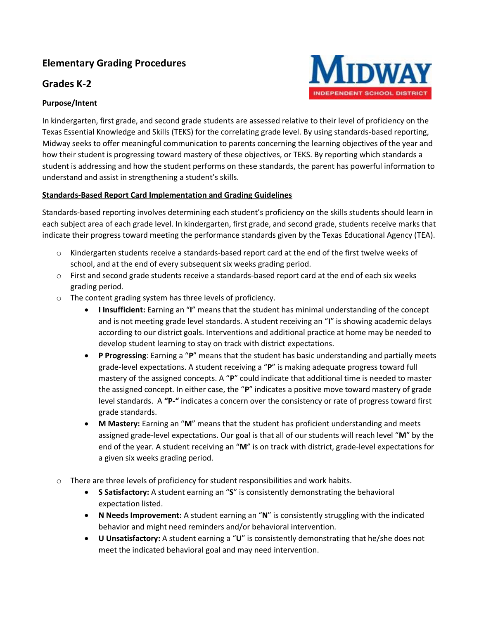# **Elementary Grading Procedures**

## **Grades K-2**



### **Purpose/Intent**

In kindergarten, first grade, and second grade students are assessed relative to their level of proficiency on the Texas Essential Knowledge and Skills (TEKS) for the correlating grade level. By using standards-based reporting, Midway seeks to offer meaningful communication to parents concerning the learning objectives of the year and how their student is progressing toward mastery of these objectives, or TEKS. By reporting which standards a student is addressing and how the student performs on these standards, the parent has powerful information to understand and assist in strengthening a student's skills.

#### **Standards-Based Report Card Implementation and Grading Guidelines**

Standards-based reporting involves determining each student's proficiency on the skills students should learn in each subject area of each grade level. In kindergarten, first grade, and second grade, students receive marks that indicate their progress toward meeting the performance standards given by the Texas Educational Agency (TEA).

- o Kindergarten students receive a standards-based report card at the end of the first twelve weeks of school, and at the end of every subsequent six weeks grading period.
- $\circ$  First and second grade students receive a standards-based report card at the end of each six weeks grading period.
- o The content grading system has three levels of proficiency.
	- **I Insufficient:** Earning an "**I**" means that the student has minimal understanding of the concept and is not meeting grade level standards. A student receiving an "**I**" is showing academic delays according to our district goals. Interventions and additional practice at home may be needed to develop student learning to stay on track with district expectations.
	- **P Progressing**: Earning a "**P**" means that the student has basic understanding and partially meets grade-level expectations. A student receiving a "**P**" is making adequate progress toward full mastery of the assigned concepts. A "**P**" could indicate that additional time is needed to master the assigned concept. In either case, the "**P**" indicates a positive move toward mastery of grade level standards. A **"P-"** indicates a concern over the consistency or rate of progress toward first grade standards.
	- **M Mastery:** Earning an "**M**" means that the student has proficient understanding and meets assigned grade-level expectations. Our goal is that all of our students will reach level "**M**" by the end of the year. A student receiving an "**M**" is on track with district, grade-level expectations for a given six weeks grading period.
- o There are three levels of proficiency for student responsibilities and work habits.
	- **S Satisfactory:** A student earning an "**S**" is consistently demonstrating the behavioral expectation listed.
	- **N Needs Improvement:** A student earning an "**N**" is consistently struggling with the indicated behavior and might need reminders and/or behavioral intervention.
	- **U Unsatisfactory:** A student earning a "**U**" is consistently demonstrating that he/she does not meet the indicated behavioral goal and may need intervention.